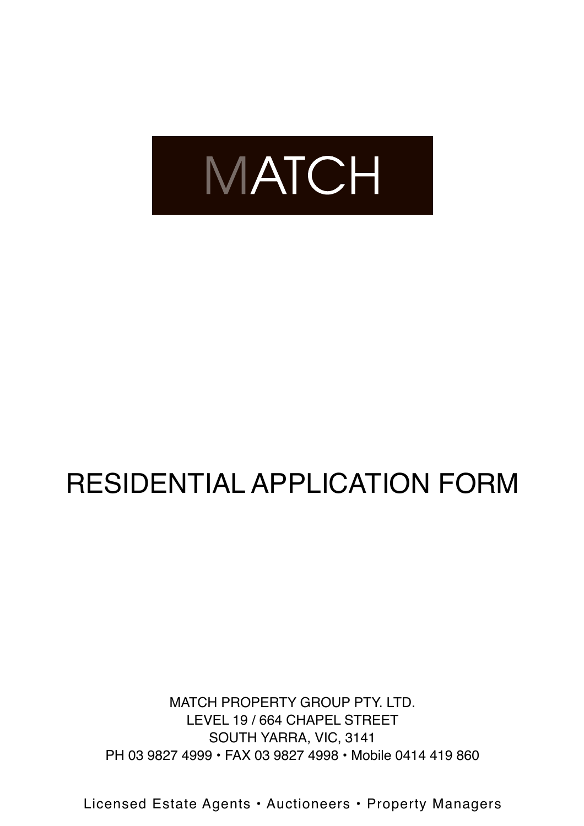

# RESIDENTIAL APPLICATION FORM

MATCH PROPERTY GROUP PTY. LTD. LEVEL 19 / 664 CHAPEL STREET SOUTH YARRA, VIC, 3141 PH 03 9827 4999 • FAX 03 9827 4998 • Mobile 0414 419 860

Licensed Estate Agents • Auctioneers • Property Managers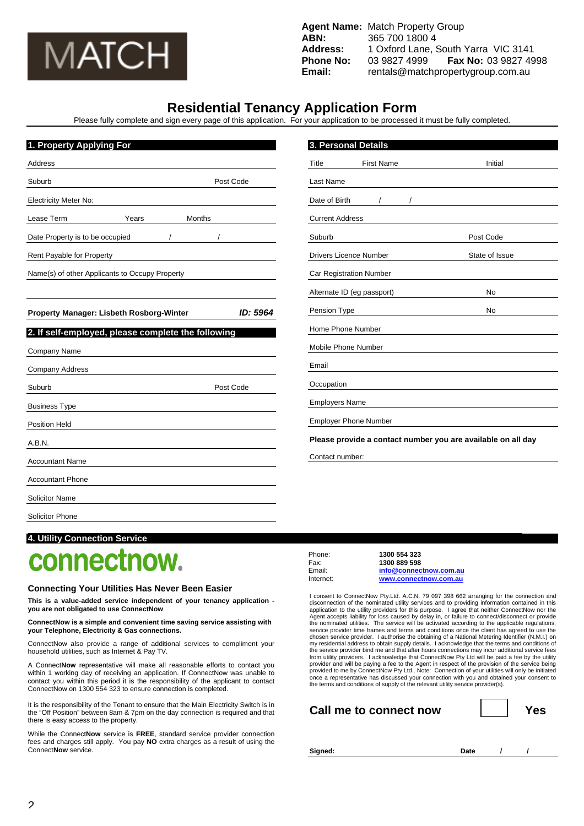

**Agent Name:** Match Property Group **ABN:** 365 700 1800 4 **Address:** 1 Oxford Lane, South Yarra VIC 3141 **Phone No:** 03 9827 4999 **Fax No:** 03 9827 4998 **Email:** rentals@matchpropertygroup.com.au

## **Residential Tenancy Application Form**

Please fully complete and sign every page of this application. For your application to be processed it must be fully completed.

| 1. Property Applying For                           |           |                                | 3. Personal Details           |                                                              |
|----------------------------------------------------|-----------|--------------------------------|-------------------------------|--------------------------------------------------------------|
| <b>Address</b>                                     |           | Title                          | <b>First Name</b>             | Initial                                                      |
| Suburb                                             | Post Code | Last Name                      |                               |                                                              |
| <b>Electricity Meter No:</b>                       |           | Date of Birth                  |                               |                                                              |
| Lease Term<br>Years<br>Months                      |           | <b>Current Address</b>         |                               |                                                              |
| Date Property is to be occupied                    |           | Suburb                         |                               | Post Code                                                    |
| Rent Payable for Property                          |           |                                | <b>Drivers Licence Number</b> | State of Issue                                               |
| Name(s) of other Applicants to Occupy Property     |           | <b>Car Registration Number</b> |                               |                                                              |
|                                                    |           |                                | Alternate ID (eg passport)    | No                                                           |
| Property Manager: Lisbeth Rosborg-Winter           | ID: 5964  | Pension Type                   |                               | No                                                           |
| 2. If self-employed, please complete the following |           |                                | Home Phone Number             |                                                              |
| Company Name                                       |           |                                | Mobile Phone Number           |                                                              |
| Company Address                                    |           | Email                          |                               |                                                              |
| Suburb                                             | Post Code | Occupation                     |                               |                                                              |
| <b>Business Type</b>                               |           | <b>Employers Name</b>          |                               |                                                              |
| <b>Position Held</b>                               |           |                                | <b>Employer Phone Number</b>  |                                                              |
| A.B.N.                                             |           |                                |                               | Please provide a contact number you are available on all day |
| <b>Accountant Name</b>                             |           | Contact number:                |                               |                                                              |
| <b>Accountant Phone</b>                            |           |                                |                               |                                                              |
| <b>Solicitor Name</b>                              |           |                                |                               |                                                              |
| <b>Solicitor Phone</b>                             |           |                                |                               |                                                              |

## **4. Utility Connection Service**

## connectnow.

#### **Connecting Your Utilities Has Never Been Easier**

**This is a value-added service independent of your tenancy application you are not obligated to use ConnectNow**

**ConnectNow is a simple and convenient time saving service assisting with your Telephone, Electricity & Gas connections.** 

ConnectNow also provide a range of additional services to compliment your household utilities, such as Internet & Pay TV.

A Connect**Now** representative will make all reasonable efforts to contact you within 1 working day of receiving an application. If ConnectNow was unable to contact you within this period it is the responsibility of the applicant to contact ConnectNow on 1300 554 323 to ensure connection is completed.

It is the responsibility of the Tenant to ensure that the Main Electricity Switch is in the "Off Position" between 8am & 7pm on the day connection is required and that there is easy access to the property.

While the Connect**Now** service is **FREE**, standard service provider connection fees and charges still apply. You pay **NO** extra charges as a result of using the Connect**Now** service.

Phone: **1300 554 323**  Fax: **1300 889 598**  Email: **info@connectnow.com.au** Internet: **www.connectnow.com.au**

I consent to ConnectNow Pty.Ltd. A.C.N. 79 097 398 662 arranging for the connection and<br>disconnection of the nominated utility services and to providing information contained in this<br>application to the utility providers fo the nominated utilities. The service will be activated according to the applicable regulations, service provider time frames and terms and conditions once the client has agreed to use the chosen service provider. I authorise the obtaining of a National Metering Identifier (N.M.I.) on<br>my residential address to obtain supply details. I acknowledge that the terms and conditions of<br>the service provider bind m from utility providers. I acknowledge that ConnectNow Pty Ltd will be paid a fee by the utility provider and will be paying a fee to the Agent in respect of the provision of the service being<br>provided to me by ConnectNow Pty Ltd.. Note: Connection of your utilities will only be initiated<br>once a representative has dis

| Call me to connect now |  | Yes |
|------------------------|--|-----|
|------------------------|--|-----|

Signed: **Date** / / /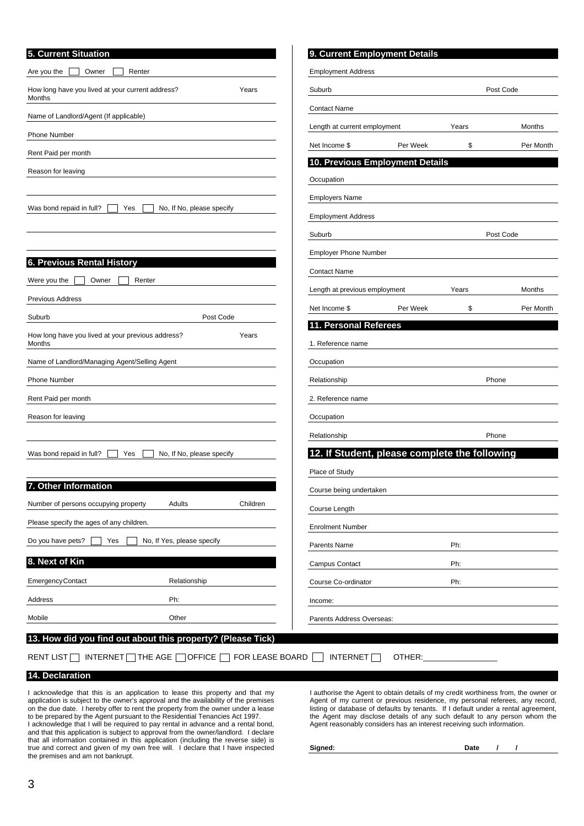| 5. Current Situation                                                 | 9. Current Employment Details                 |                 |  |
|----------------------------------------------------------------------|-----------------------------------------------|-----------------|--|
| Owner<br>Are you the<br>Renter                                       | <b>Employment Address</b>                     |                 |  |
| How long have you lived at your current address?<br>Years<br>Months  | Suburb                                        | Post Code       |  |
| Name of Landlord/Agent (If applicable)                               | <b>Contact Name</b>                           |                 |  |
| <b>Phone Number</b>                                                  | Length at current employment                  | Months<br>Years |  |
|                                                                      | Per Week<br>Net Income \$                     | \$<br>Per Month |  |
| Rent Paid per month                                                  | 10. Previous Employment Details               |                 |  |
| Reason for leaving                                                   | Occupation                                    |                 |  |
|                                                                      | <b>Employers Name</b>                         |                 |  |
| Was bond repaid in full?<br>No, If No, please specify<br>Yes         | <b>Employment Address</b>                     |                 |  |
|                                                                      | Suburb                                        | Post Code       |  |
|                                                                      | <b>Employer Phone Number</b>                  |                 |  |
| <b>6. Previous Rental History</b>                                    | <b>Contact Name</b>                           |                 |  |
| Were you the<br>Owner<br>Renter                                      | Length at previous employment                 | Months<br>Years |  |
| <b>Previous Address</b>                                              | Per Week<br>Net Income \$                     | \$<br>Per Month |  |
| Suburb<br>Post Code                                                  | 11. Personal Referees                         |                 |  |
| How long have you lived at your previous address?<br>Years<br>Months | 1. Reference name                             |                 |  |
| Name of Landlord/Managing Agent/Selling Agent                        | Occupation                                    |                 |  |
| <b>Phone Number</b>                                                  | Relationship                                  | Phone           |  |
| Rent Paid per month                                                  | 2. Reference name                             |                 |  |
| Reason for leaving                                                   | Occupation                                    |                 |  |
|                                                                      | Relationship                                  | Phone           |  |
| Was bond repaid in full?<br>No, If No, please specify<br>Yes         | 12. If Student, please complete the following |                 |  |
|                                                                      | Place of Study                                |                 |  |
| 7. Other Information                                                 | Course being undertaken                       |                 |  |
| Children<br>Number of persons occupying property<br>Adults           | Course Length                                 |                 |  |
| Please specify the ages of any children.                             | <b>Enrolment Number</b>                       |                 |  |
| Do you have pets?<br>No, If Yes, please specify<br>Yes               | Parents Name                                  | Ph:             |  |
| 8. Next of Kin                                                       | Campus Contact                                | Ph:             |  |
| <b>EmergencyContact</b><br>Relationship                              | Course Co-ordinator                           | Ph:             |  |
| Ph:<br>Address                                                       | Income:                                       |                 |  |
| Mobile<br>Other                                                      | Parents Address Overseas:                     |                 |  |
| 13. How did you find out about this property? (Please Tick)          |                                               |                 |  |
| INTERNET THE AGE □ OFFICE □ FOR LEASE BOARD<br><b>RENT LIST</b>      | INTERNET<br>OTHER:                            |                 |  |

## **14. Declaration**

I acknowledge that this is an application to lease this property and that my application is subject to the owner's approval and the availability of the premises on the due date. I hereby offer to rent the property from the owner under a lease to be prepared by the Agent pursuant to the Residential Tenancies Act 1997. I acknowledge that I will be required to pay rental in advance and a rental bond, and that this application is subject to approval from the owner/landlord. I declare that all information contained in this application (including the reverse side) is true and correct and given of my own free will. I declare that I have inspected the premises and am not bankrupt.

I authorise the Agent to obtain details of my credit worthiness from, the owner or Agent of my current or previous residence, my personal referees, any record, listing or database of defaults by tenants. If I default under a rental agreement, the Agent may disclose details of any such default to any person whom the Agent reasonably considers has an interest receiving such information.

Signed: **Date** / /